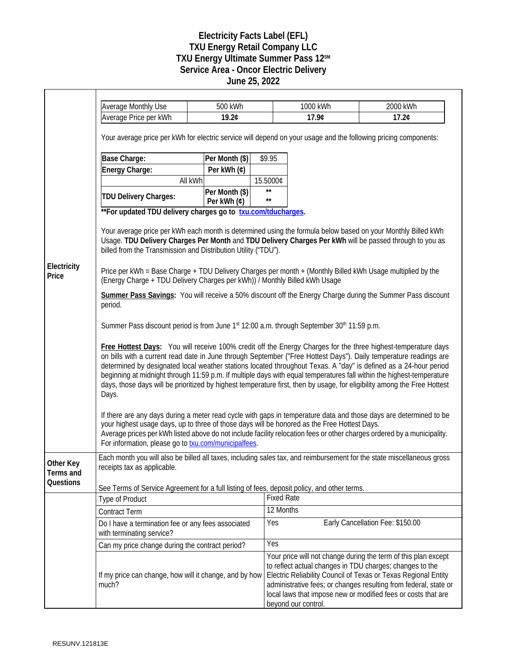## **Electricity Facts Label (EFL) TXU Energy Retail Company LLC TXU Energy Ultimate Summer Pass 12SM Service Area - Oncor Electric Delivery June 25, 2022**

|                        | <b>Average Monthly Use</b><br>Average Price per kWh                                                                                                                                                                                                                                                                                                                                                                                                                                                                                                                                                                  | 500 kWh<br>19.2¢              |                              | 1000 kWh<br>17.9¢   | 2000 kWh<br>17.2¢                                                                                                                                                                                                                                                                                                                 |  |
|------------------------|----------------------------------------------------------------------------------------------------------------------------------------------------------------------------------------------------------------------------------------------------------------------------------------------------------------------------------------------------------------------------------------------------------------------------------------------------------------------------------------------------------------------------------------------------------------------------------------------------------------------|-------------------------------|------------------------------|---------------------|-----------------------------------------------------------------------------------------------------------------------------------------------------------------------------------------------------------------------------------------------------------------------------------------------------------------------------------|--|
|                        | Your average price per kWh for electric service will depend on your usage and the following pricing components:                                                                                                                                                                                                                                                                                                                                                                                                                                                                                                      |                               |                              |                     |                                                                                                                                                                                                                                                                                                                                   |  |
|                        | Base Charge:                                                                                                                                                                                                                                                                                                                                                                                                                                                                                                                                                                                                         | Per Month (\$)                | \$9.95                       |                     |                                                                                                                                                                                                                                                                                                                                   |  |
|                        | Energy Charge:                                                                                                                                                                                                                                                                                                                                                                                                                                                                                                                                                                                                       | Per kWh (¢)                   |                              |                     |                                                                                                                                                                                                                                                                                                                                   |  |
|                        | All kWh                                                                                                                                                                                                                                                                                                                                                                                                                                                                                                                                                                                                              |                               | 15.5000¢                     |                     |                                                                                                                                                                                                                                                                                                                                   |  |
|                        | <b>TDU Delivery Charges:</b>                                                                                                                                                                                                                                                                                                                                                                                                                                                                                                                                                                                         | Per Month (\$)<br>Per kWh (¢) | $\star\star$<br>$\star\star$ |                     |                                                                                                                                                                                                                                                                                                                                   |  |
|                        | ** For updated TDU delivery charges go to txu.com/tducharges.                                                                                                                                                                                                                                                                                                                                                                                                                                                                                                                                                        |                               |                              |                     |                                                                                                                                                                                                                                                                                                                                   |  |
|                        | Your average price per kWh each month is determined using the formula below based on your Monthly Billed kWh<br>Usage. TDU Delivery Charges Per Month and TDU Delivery Charges Per kWh will be passed through to you as<br>billed from the Transmission and Distribution Utility ("TDU").                                                                                                                                                                                                                                                                                                                            |                               |                              |                     |                                                                                                                                                                                                                                                                                                                                   |  |
| Electricity<br>Price   | Price per kWh = Base Charge + TDU Delivery Charges per month + (Monthly Billed kWh Usage multiplied by the<br>(Energy Charge + TDU Delivery Charges per kWh)) / Monthly Billed kWh Usage                                                                                                                                                                                                                                                                                                                                                                                                                             |                               |                              |                     |                                                                                                                                                                                                                                                                                                                                   |  |
|                        | Summer Pass Savings: You will receive a 50% discount off the Energy Charge during the Summer Pass discount<br>period.                                                                                                                                                                                                                                                                                                                                                                                                                                                                                                |                               |                              |                     |                                                                                                                                                                                                                                                                                                                                   |  |
|                        | Summer Pass discount period is from June 1st 12:00 a.m. through September 30th 11:59 p.m.                                                                                                                                                                                                                                                                                                                                                                                                                                                                                                                            |                               |                              |                     |                                                                                                                                                                                                                                                                                                                                   |  |
|                        | Free Hottest Days: You will receive 100% credit off the Energy Charges for the three highest-temperature days<br>on bills with a current read date in June through September ("Free Hottest Days"). Daily temperature readings are<br>determined by designated local weather stations located throughout Texas. A "day" is defined as a 24-hour period<br>beginning at midnight through 11:59 p.m. If multiple days with equal temperatures fall within the highest-temperature<br>days, those days will be prioritized by highest temperature first, then by usage, for eligibility among the Free Hottest<br>Days. |                               |                              |                     |                                                                                                                                                                                                                                                                                                                                   |  |
|                        | If there are any days during a meter read cycle with gaps in temperature data and those days are determined to be<br>your highest usage days, up to three of those days will be honored as the Free Hottest Days.<br>Average prices per kWh listed above do not include facility relocation fees or other charges ordered by a municipality.<br>For information, please go to <b>txu.com/municipalfees</b> .                                                                                                                                                                                                         |                               |                              |                     |                                                                                                                                                                                                                                                                                                                                   |  |
| Other Key<br>Terms and | Each month you will also be billed all taxes, including sales tax, and reimbursement for the state miscellaneous gross<br>receipts tax as applicable.                                                                                                                                                                                                                                                                                                                                                                                                                                                                |                               |                              |                     |                                                                                                                                                                                                                                                                                                                                   |  |
| Questions              | See Terms of Service Agreement for a full listing of fees, deposit policy, and other terms.                                                                                                                                                                                                                                                                                                                                                                                                                                                                                                                          |                               |                              |                     |                                                                                                                                                                                                                                                                                                                                   |  |
|                        | <b>Type of Product</b>                                                                                                                                                                                                                                                                                                                                                                                                                                                                                                                                                                                               |                               | <b>Fixed Rate</b>            |                     |                                                                                                                                                                                                                                                                                                                                   |  |
|                        | <b>Contract Term</b>                                                                                                                                                                                                                                                                                                                                                                                                                                                                                                                                                                                                 |                               | 12 Months                    |                     |                                                                                                                                                                                                                                                                                                                                   |  |
|                        | Do I have a termination fee or any fees associated<br>with terminating service?                                                                                                                                                                                                                                                                                                                                                                                                                                                                                                                                      |                               | Yes                          |                     | Early Cancellation Fee: \$150.00                                                                                                                                                                                                                                                                                                  |  |
|                        | Can my price change during the contract period?                                                                                                                                                                                                                                                                                                                                                                                                                                                                                                                                                                      |                               | <b>Yes</b>                   |                     |                                                                                                                                                                                                                                                                                                                                   |  |
|                        | If my price can change, how will it change, and by how<br>much?                                                                                                                                                                                                                                                                                                                                                                                                                                                                                                                                                      |                               |                              | beyond our control. | Your price will not change during the term of this plan except<br>to reflect actual changes in TDU charges; changes to the<br>Electric Reliability Council of Texas or Texas Regional Entity<br>administrative fees; or changes resulting from federal, state or<br>local laws that impose new or modified fees or costs that are |  |